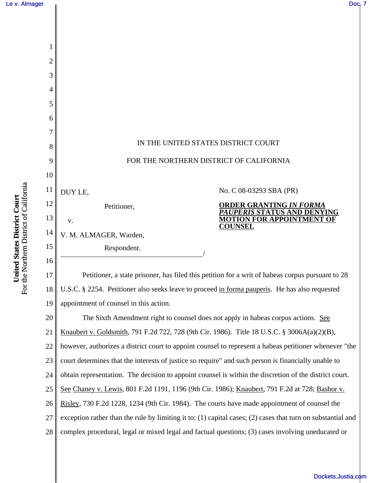



18 19 Petitioner, a state prisoner, has filed this petition for a writ of habeas corpus pursuant to 28 U.S.C. § 2254. Petitioner also seeks leave to proceed in forma pauperis. He has also requested appointment of counsel in this action.

20 21 22 23 24 25 26 27 28 The Sixth Amendment right to counsel does not apply in habeas corpus actions. See Knaubert v. Goldsmith, 791 F.2d 722, 728 (9th Cir. 1986). Title 18 U.S.C. § 3006A(a)(2)(B), however, authorizes a district court to appoint counsel to represent a habeas petitioner whenever "the court determines that the interests of justice so require" and such person is financially unable to obtain representation. The decision to appoint counsel is within the discretion of the district court. See Chaney v. Lewis, 801 F.2d 1191, 1196 (9th Cir. 1986); Knaubert, 791 F.2d at 728; Bashor v. Risley, 730 F.2d 1228, 1234 (9th Cir. 1984). The courts have made appointment of counsel the exception rather than the rule by limiting it to: (1) capital cases; (2) cases that turn on substantial and complex procedural, legal or mixed legal and factual questions; (3) cases involving uneducated or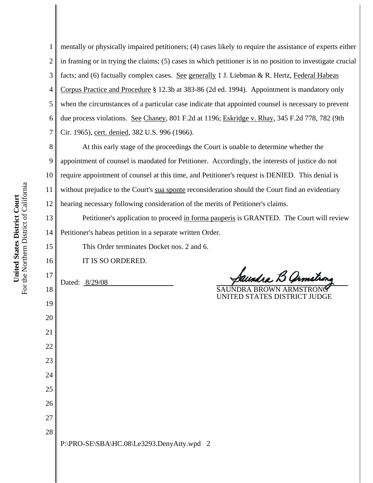1 2 3 4 5 6 7 mentally or physically impaired petitioners; (4) cases likely to require the assistance of experts either in framing or in trying the claims; (5) cases in which petitioner is in no position to investigate crucial facts; and (6) factually complex cases. See generally 1 J. Liebman & R. Hertz, Federal Habeas Corpus Practice and Procedure § 12.3b at 383-86 (2d ed. 1994). Appointment is mandatory only when the circumstances of a particular case indicate that appointed counsel is necessary to prevent due process violations. See Chaney, 801 F.2d at 1196; Eskridge v. Rhay, 345 F.2d 778, 782 (9th Cir. 1965), cert. denied, 382 U.S. 996 (1966).

8 9 10 11 12 At this early stage of the proceedings the Court is unable to determine whether the appointment of counsel is mandated for Petitioner. Accordingly, the interests of justice do not require appointment of counsel at this time, and Petitioner's request is DENIED. This denial is without prejudice to the Court's sua sponte reconsideration should the Court find an evidentiary hearing necessary following consideration of the merits of Petitioner's claims.

13 14 Petitioner's application to proceed in forma pauperis is GRANTED. The Court will review Petitioner's habeas petition in a separate written Order.

This Order terminates Docket nos. 2 and 6.

IT IS SO ORDERED.

Dated: 8/29/08 SAUNDRA BROWN ARMSTRONG UNITED STATES DISTRICT JUDGE

P:\PRO-SE\SBA\HC.08\Le3293.DenyAtty.wpd 2

15

16

17

18

19

20

21

22

23

24

25

26

27

28